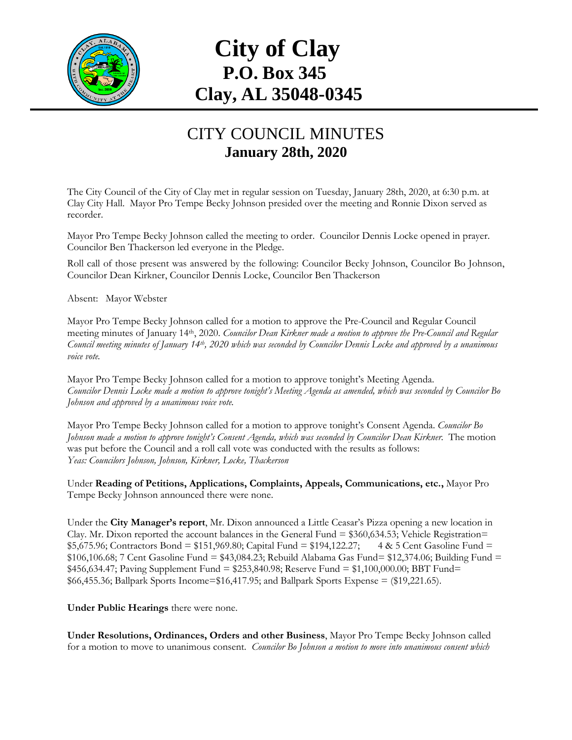

## **City of Clay P.O. Box 345 Clay, AL 35048-0345**

## CITY COUNCIL MINUTES **January 28th, 2020**

The City Council of the City of Clay met in regular session on Tuesday, January 28th, 2020, at 6:30 p.m. at Clay City Hall. Mayor Pro Tempe Becky Johnson presided over the meeting and Ronnie Dixon served as recorder.

Mayor Pro Tempe Becky Johnson called the meeting to order. Councilor Dennis Locke opened in prayer. Councilor Ben Thackerson led everyone in the Pledge.

Roll call of those present was answered by the following: Councilor Becky Johnson, Councilor Bo Johnson, Councilor Dean Kirkner, Councilor Dennis Locke, Councilor Ben Thackerson

Absent: Mayor Webster

Mayor Pro Tempe Becky Johnson called for a motion to approve the Pre-Council and Regular Council meeting minutes of January 14th, 2020. *Councilor Dean Kirkner made a motion to approve the Pre-Council and Regular Council meeting minutes of January 14th, 2020 which was seconded by Councilor Dennis Locke and approved by a unanimous voice vote.*

Mayor Pro Tempe Becky Johnson called for a motion to approve tonight's Meeting Agenda. *Councilor Dennis Locke made a motion to approve tonight's Meeting Agenda as amended, which was seconded by Councilor Bo Johnson and approved by a unanimous voice vote.*

Mayor Pro Tempe Becky Johnson called for a motion to approve tonight's Consent Agenda. *Councilor Bo Johnson made a motion to approve tonight's Consent Agenda, which was seconded by Councilor Dean Kirkner.* The motion was put before the Council and a roll call vote was conducted with the results as follows: *Yeas: Councilors Johnson, Johnson, Kirkner, Locke, Thackerson*

Under **Reading of Petitions, Applications, Complaints, Appeals, Communications, etc.,** Mayor Pro Tempe Becky Johnson announced there were none.

Under the **City Manager's report**, Mr. Dixon announced a Little Ceasar's Pizza opening a new location in Clay. Mr. Dixon reported the account balances in the General Fund = \$360,634.53; Vehicle Registration=  $$5,675.96$ ; Contractors Bond = \$151,969.80; Capital Fund = \$194,122.27; 4 & 5 Cent Gasoline Fund = \$106,106.68; 7 Cent Gasoline Fund = \$43,084.23; Rebuild Alabama Gas Fund= \$12,374.06; Building Fund = \$456,634.47; Paving Supplement Fund = \$253,840.98; Reserve Fund = \$1,100,000.00; BBT Fund= \$66,455.36; Ballpark Sports Income=\$16,417.95; and Ballpark Sports Expense = (\$19,221.65).

**Under Public Hearings** there were none.

**Under Resolutions, Ordinances, Orders and other Business**, Mayor Pro Tempe Becky Johnson called for a motion to move to unanimous consent. *Councilor Bo Johnson a motion to move into unanimous consent which*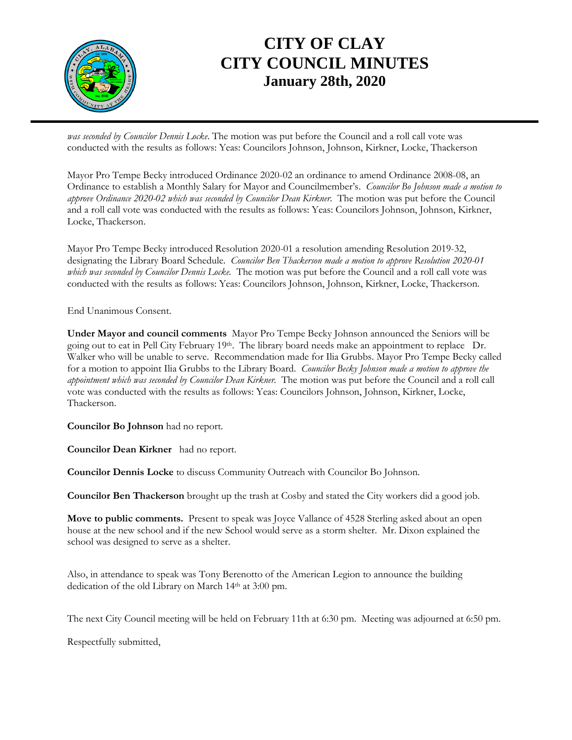

## **CITY OF CLAY CITY COUNCIL MINUTES January 28th, 2020**

*was seconded by Councilor Dennis Locke*. The motion was put before the Council and a roll call vote was conducted with the results as follows: Yeas: Councilors Johnson, Johnson, Kirkner, Locke, Thackerson

Mayor Pro Tempe Becky introduced Ordinance 2020-02 an ordinance to amend Ordinance 2008-08, an Ordinance to establish a Monthly Salary for Mayor and Councilmember's. *Councilor Bo Johnson made a motion to approve Ordinance 2020-02 which was seconded by Councilor Dean Kirkner.* The motion was put before the Council and a roll call vote was conducted with the results as follows: Yeas: Councilors Johnson, Johnson, Kirkner, Locke, Thackerson.

Mayor Pro Tempe Becky introduced Resolution 2020-01 a resolution amending Resolution 2019-32, designating the Library Board Schedule. *Councilor Ben Thackerson made a motion to approve Resolution 2020-01 which was seconded by Councilor Dennis Locke.* The motion was put before the Council and a roll call vote was conducted with the results as follows: Yeas: Councilors Johnson, Johnson, Kirkner, Locke, Thackerson.

End Unanimous Consent.

**Under Mayor and council comments** Mayor Pro Tempe Becky Johnson announced the Seniors will be going out to eat in Pell City February 19<sup>th</sup>. The library board needs make an appointment to replace Dr. Walker who will be unable to serve. Recommendation made for Ilia Grubbs. Mayor Pro Tempe Becky called for a motion to appoint Ilia Grubbs to the Library Board. *Councilor Becky Johnson made a motion to approve the appointment which was seconded by Councilor Dean Kirkner.* The motion was put before the Council and a roll call vote was conducted with the results as follows: Yeas: Councilors Johnson, Johnson, Kirkner, Locke, Thackerson.

**Councilor Bo Johnson** had no report.

**Councilor Dean Kirkner** had no report.

**Councilor Dennis Locke** to discuss Community Outreach with Councilor Bo Johnson.

**Councilor Ben Thackerson** brought up the trash at Cosby and stated the City workers did a good job.

**Move to public comments.** Present to speak was Joyce Vallance of 4528 Sterling asked about an open house at the new school and if the new School would serve as a storm shelter. Mr. Dixon explained the school was designed to serve as a shelter.

Also, in attendance to speak was Tony Berenotto of the American Legion to announce the building dedication of the old Library on March 14<sup>th</sup> at 3:00 pm.

The next City Council meeting will be held on February 11th at 6:30 pm. Meeting was adjourned at 6:50 pm.

Respectfully submitted,